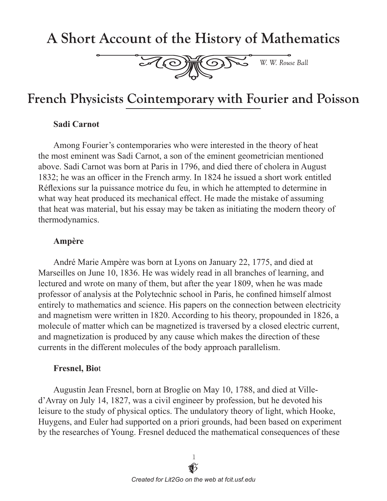# A Short Account of the History of Mathematics



## **French Physicists Cointemporary with Fourier and Poisson**

#### **Sadi Carnot**

Among Fourier's contemporaries who were interested in the theory of heat the most eminent was Sadi Carnot, a son of the eminent geometrician mentioned above. Sadi Carnot was born at Paris in 1796, and died there of cholera in August 1832; he was an officer in the French army. In 1824 he issued a short work entitled Réflexions sur la puissance motrice du feu, in which he attempted to determine in what way heat produced its mechanical effect. He made the mistake of assuming that heat was material, but his essay may be taken as initiating the modern theory of thermodynamics.

#### **Ampère**

André Marie Ampère was born at Lyons on January 22, 1775, and died at Marseilles on June 10, 1836. He was widely read in all branches of learning, and lectured and wrote on many of them, but after the year 1809, when he was made professor of analysis at the Polytechnic school in Paris, he confined himself almost entirely to mathematics and science. His papers on the connection between electricity and magnetism were written in 1820. According to his theory, propounded in 1826, a molecule of matter which can be magnetized is traversed by a closed electric current, and magnetization is produced by any cause which makes the direction of these currents in the different molecules of the body approach parallelism.

#### **Fresnel, Bio**t

Augustin Jean Fresnel, born at Broglie on May 10, 1788, and died at Villed'Avray on July 14, 1827, was a civil engineer by profession, but he devoted his leisure to the study of physical optics. The undulatory theory of light, which Hooke, Huygens, and Euler had supported on a priori grounds, had been based on experiment by the researches of Young. Fresnel deduced the mathematical consequences of these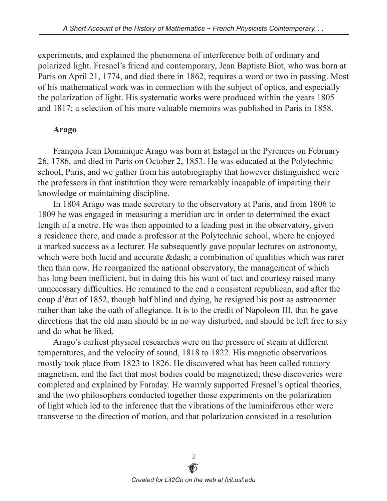experiments, and explained the phenomena of interference both of ordinary and polarized light. Fresnel's friend and contemporary, Jean Baptiste Biot, who was born at Paris on April 21, 1774, and died there in 1862, requires a word or two in passing. Most of his mathematical work was in connection with the subject of optics, and especially the polarization of light. His systematic works were produced within the years 1805 and 1817; a selection of his more valuable memoirs was published in Paris in 1858.

### **Arago**

François Jean Dominique Arago was born at Estagel in the Pyrenees on February 26, 1786, and died in Paris on October 2, 1853. He was educated at the Polytechnic school, Paris, and we gather from his autobiography that however distinguished were the professors in that institution they were remarkably incapable of imparting their knowledge or maintaining discipline.

In 1804 Arago was made secretary to the observatory at Paris, and from 1806 to 1809 he was engaged in measuring a meridian arc in order to determined the exact length of a metre. He was then appointed to a leading post in the observatory, given a residence there, and made a professor at the Polytechnic school, where he enjoyed a marked success as a lecturer. He subsequently gave popular lectures on astronomy, which were both lucid and accurate  $\&$  dash; a combination of qualities which was rarer then than now. He reorganized the national observatory, the management of which has long been inefficient, but in doing this his want of tact and courtesy raised many unnecessary difficulties. He remained to the end a consistent republican, and after the coup d'état of 1852, though half blind and dying, he resigned his post as astronomer rather than take the oath of allegiance. It is to the credit of Napoleon III. that he gave directions that the old man should be in no way disturbed, and should be left free to say and do what he liked.

Arago's earliest physical researches were on the pressure of steam at different temperatures, and the velocity of sound, 1818 to 1822. His magnetic observations mostly took place from 1823 to 1826. He discovered what has been called rotatory magnetism, and the fact that most bodies could be magnetized; these discoveries were completed and explained by Faraday. He warmly supported Fresnel's optical theories, and the two philosophers conducted together those experiments on the polarization of light which led to the inference that the vibrations of the luminiferous ether were transverse to the direction of motion, and that polarization consisted in a resolution